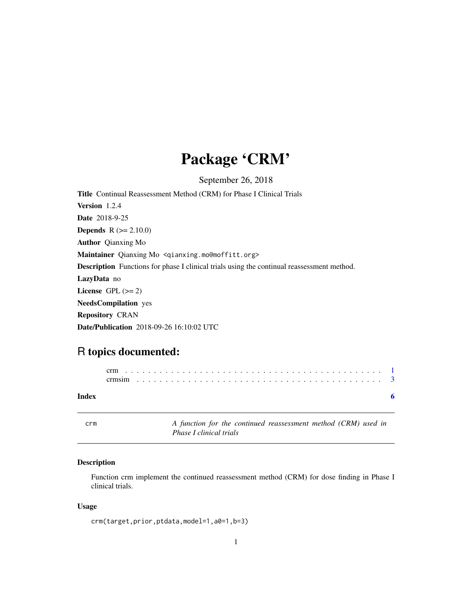## Package 'CRM'

September 26, 2018

<span id="page-0-0"></span>Title Continual Reassessment Method (CRM) for Phase I Clinical Trials Version 1.2.4 Date 2018-9-25 **Depends**  $R (= 2.10.0)$ Author Qianxing Mo Maintainer Qianxing Mo <qianxing.mo@moffitt.org> Description Functions for phase I clinical trials using the continual reassessment method. LazyData no License GPL  $(>= 2)$ NeedsCompilation yes Repository CRAN Date/Publication 2018-09-26 16:10:02 UTC

### R topics documented:

<span id="page-0-1"></span>crm *A function for the continued reassessment method (CRM) used in Phase I clinical trials*

#### Description

Function crm implement the continued reassessment method (CRM) for dose finding in Phase I clinical trials.

#### Usage

```
crm(target,prior,ptdata,model=1,a0=1,b=3)
```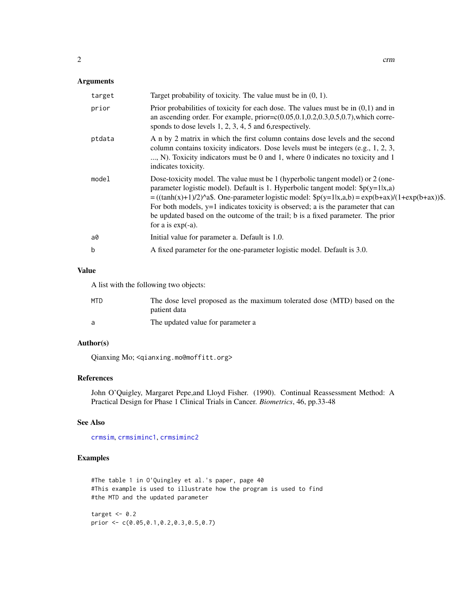#### <span id="page-1-0"></span>Arguments

| target | Target probability of toxicity. The value must be in $(0, 1)$ .                                                                                                                                                                                                                                                                                                                                                                                                                 |
|--------|---------------------------------------------------------------------------------------------------------------------------------------------------------------------------------------------------------------------------------------------------------------------------------------------------------------------------------------------------------------------------------------------------------------------------------------------------------------------------------|
| prior  | Prior probabilities of toxicity for each dose. The values must be in $(0,1)$ and in<br>an ascending order. For example, $prior=c(0.05, 0.1, 0.2, 0.3, 0.5, 0.7)$ , which corre-<br>sponds to dose levels $1, 2, 3, 4, 5$ and 6, respectively.                                                                                                                                                                                                                                   |
| ptdata | A n by 2 matrix in which the first column contains dose levels and the second<br>column contains toxicity indicators. Dose levels must be integers (e.g., 1, 2, 3,<br>, N). Toxicity indicators must be 0 and 1, where 0 indicates no toxicity and 1<br>indicates toxicity.                                                                                                                                                                                                     |
| model  | Dose-toxicity model. The value must be 1 (hyperbolic tangent model) or 2 (one-<br>parameter logistic model). Default is 1. Hyperbolic tangent model: $\phi(y=1 x,a)$<br>$=((\tanh(x)+1)/2)^2$ . One-parameter logistic model: $\phi(y=1 x,a,b) = \exp(b+ax)/(1+\exp(b+ax))\$ .<br>For both models, $y=1$ indicates toxicity is observed; a is the parameter that can<br>be updated based on the outcome of the trail; b is a fixed parameter. The prior<br>for a is $exp(-a)$ . |
| a0     | Initial value for parameter a. Default is 1.0.                                                                                                                                                                                                                                                                                                                                                                                                                                  |
| b      | A fixed parameter for the one-parameter logistic model. Default is 3.0.                                                                                                                                                                                                                                                                                                                                                                                                         |

#### Value

A list with the following two objects:

| MTD. | The dose level proposed as the maximum tolerated dose (MTD) based on the<br>patient data |
|------|------------------------------------------------------------------------------------------|
| a    | The updated value for parameter a                                                        |

#### Author(s)

Qianxing Mo; <qianxing.mo@moffitt.org>

#### References

John O'Quigley, Margaret Pepe,and Lloyd Fisher. (1990). Continual Reassessment Method: A Practical Design for Phase 1 Clinical Trials in Cancer. *Biometrics*, 46, pp.33-48

#### See Also

[crmsim](#page-2-1), [crmsiminc1](#page-2-2), [crmsiminc2](#page-2-2)

#### Examples

#The table 1 in O'Quingley et al.'s paper, page 40 #This example is used to illustrate how the program is used to find #the MTD and the updated parameter

target  $<-0.2$ prior <- c(0.05,0.1,0.2,0.3,0.5,0.7)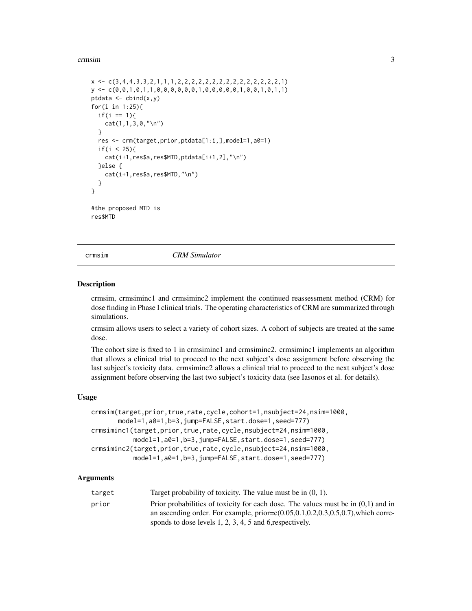#### <span id="page-2-0"></span>crmsim 3

```
x <- c(3,4,4,3,3,2,1,1,1,2,2,2,2,2,2,2,2,2,2,2,2,2,2,2,1)
y \leftarrow c(0, 0, 1, 0, 1, 1, 0, 0, 0, 0, 0, 0, 1, 0, 0, 0, 0, 1, 0, 0, 1, 0, 1, 1)ptdata <- cbind(x,y)
for(i in 1:25){
 if(i == 1){
    cat(1,1,3,0,'\\n")}
  res <- crm(target,prior,ptdata[1:i,],model=1,a0=1)
  if(i < 25){
    cat(i+1,res$a,res$MTD,ptdata[i+1,2],"\n")
  }else {
    cat(i+1,res$a,res$MTD,"\n")
  }
}
#the proposed MTD is
res$MTD
```
<span id="page-2-1"></span>crmsim *CRM Simulator*

#### <span id="page-2-2"></span>Description

crmsim, crmsiminc1 and crmsiminc2 implement the continued reassessment method (CRM) for dose finding in Phase I clinical trials. The operating characteristics of CRM are summarized through simulations.

crmsim allows users to select a variety of cohort sizes. A cohort of subjects are treated at the same dose.

The cohort size is fixed to 1 in crmsiminc1 and crmsiminc2. crmsiminc1 implements an algorithm that allows a clinical trial to proceed to the next subject's dose assignment before observing the last subject's toxicity data. crmsiminc2 allows a clinical trial to proceed to the next subject's dose assignment before observing the last two subject's toxicity data (see Iasonos et al. for details).

#### Usage

```
crmsim(target,prior,true,rate,cycle,cohort=1,nsubject=24,nsim=1000,
       model=1,a0=1,b=3,jump=FALSE,start.dose=1,seed=777)
crmsiminc1(target,prior,true,rate,cycle,nsubject=24,nsim=1000,
           model=1,a0=1,b=3,jump=FALSE,start.dose=1,seed=777)
crmsiminc2(target,prior,true,rate,cycle,nsubject=24,nsim=1000,
           model=1,a0=1,b=3,jump=FALSE,start.dose=1,seed=777)
```
#### Arguments

| target | Target probability of toxicity. The value must be in $(0, 1)$ .                           |
|--------|-------------------------------------------------------------------------------------------|
| prior  | Prior probabilities of toxicity for each dose. The values must be in $(0,1)$ and in       |
|        | an ascending order. For example, prior= $c(0.05, 0.1, 0.2, 0.3, 0.5, 0.7)$ , which corre- |
|        | sponds to dose levels $1, 2, 3, 4, 5$ and 6, respectively.                                |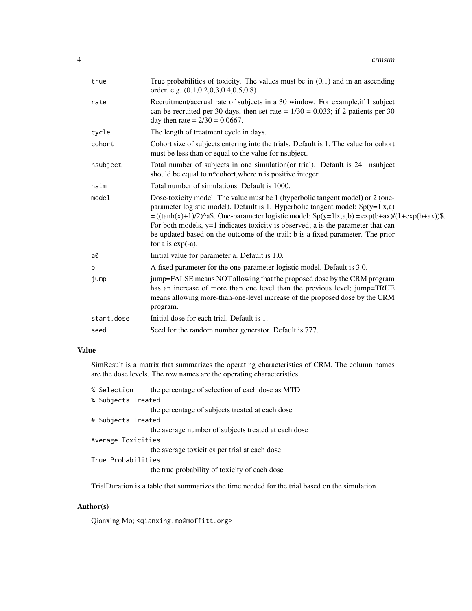| true       | True probabilities of toxicity. The values must be in $(0,1)$ and in an ascending<br>order. e.g. $(0.1, 0.2, 0.3, 0.4, 0.5, 0.8)$                                                                                                                                                                                                                                                                                                                                                |
|------------|----------------------------------------------------------------------------------------------------------------------------------------------------------------------------------------------------------------------------------------------------------------------------------------------------------------------------------------------------------------------------------------------------------------------------------------------------------------------------------|
| rate       | Recruitment/accrual rate of subjects in a 30 window. For example, if 1 subject<br>can be recruited per 30 days, then set rate = $1/30 = 0.033$ ; if 2 patients per 30<br>day then rate = $2/30 = 0.0667$ .                                                                                                                                                                                                                                                                       |
| cycle      | The length of treatment cycle in days.                                                                                                                                                                                                                                                                                                                                                                                                                                           |
| cohort     | Cohort size of subjects entering into the trials. Default is 1. The value for cohort<br>must be less than or equal to the value for nsubject.                                                                                                                                                                                                                                                                                                                                    |
| nsubject   | Total number of subjects in one simulation (or trial). Default is 24. nsubject<br>should be equal to n*cohort, where n is positive integer.                                                                                                                                                                                                                                                                                                                                      |
| nsim       | Total number of simulations. Default is 1000.                                                                                                                                                                                                                                                                                                                                                                                                                                    |
| model      | Dose-toxicity model. The value must be 1 (hyperbolic tangent model) or 2 (one-<br>parameter logistic model). Default is 1. Hyperbolic tangent model: $\phi(y=1 x,a)$<br>$=((\tanh(x)+1)/2)^{x}$ . One-parameter logistic model: $\phi(y=1 x,a,b) = \exp(b+ax)/(1+\exp(b+ax))$ .<br>For both models, $y=1$ indicates toxicity is observed; a is the parameter that can<br>be updated based on the outcome of the trail; b is a fixed parameter. The prior<br>for a is $exp(-a)$ . |
| a0         | Initial value for parameter a. Default is 1.0.                                                                                                                                                                                                                                                                                                                                                                                                                                   |
| b          | A fixed parameter for the one-parameter logistic model. Default is 3.0.                                                                                                                                                                                                                                                                                                                                                                                                          |
| jump       | jump=FALSE means NOT allowing that the proposed dose by the CRM program<br>has an increase of more than one level than the previous level; jump=TRUE<br>means allowing more-than-one-level increase of the proposed dose by the CRM<br>program.                                                                                                                                                                                                                                  |
| start.dose | Initial dose for each trial. Default is 1.                                                                                                                                                                                                                                                                                                                                                                                                                                       |
| seed       | Seed for the random number generator. Default is 777.                                                                                                                                                                                                                                                                                                                                                                                                                            |

#### Value

SimResult is a matrix that summarizes the operating characteristics of CRM. The column names are the dose levels. The row names are the operating characteristics.

| % Selection        | the percentage of selection of each dose as MTD     |
|--------------------|-----------------------------------------------------|
| % Subjects Treated |                                                     |
|                    | the percentage of subjects treated at each dose     |
| # Subjects Treated |                                                     |
|                    | the average number of subjects treated at each dose |
| Average Toxicities |                                                     |
|                    | the average toxicities per trial at each dose       |
| True Probabilities |                                                     |
|                    | the true probability of toxicity of each dose       |
|                    |                                                     |

TrialDuration is a table that summarizes the time needed for the trial based on the simulation.

#### Author(s)

Qianxing Mo; <qianxing.mo@moffitt.org>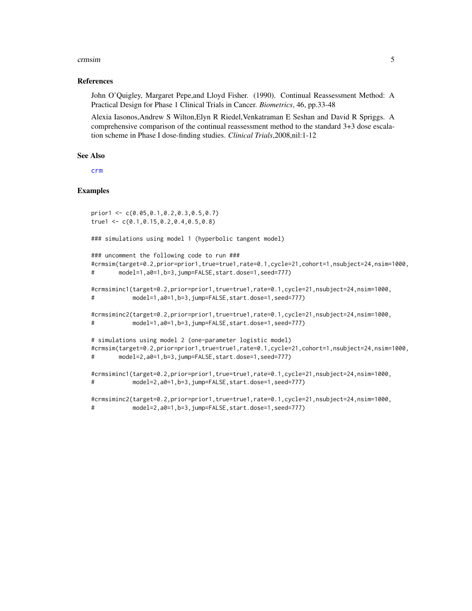#### <span id="page-4-0"></span>crmsim 5

#### References

John O'Quigley, Margaret Pepe,and Lloyd Fisher. (1990). Continual Reassessment Method: A Practical Design for Phase 1 Clinical Trials in Cancer. *Biometrics*, 46, pp.33-48

Alexia Iasonos,Andrew S Wilton,Elyn R Riedel,Venkatraman E Seshan and David R Spriggs. A comprehensive comparison of the continual reassessment method to the standard 3+3 dose escalation scheme in Phase I dose-finding studies. *Clinical Trials*,2008,nil:1-12

#### See Also

[crm](#page-0-1)

#### Examples

```
prior1 <- c(0.05,0.1,0.2,0.3,0.5,0.7)
true1 <- c(0.1,0.15,0.2,0.4,0.5,0.8)
### simulations using model 1 (hyperbolic tangent model)
### uncomment the following code to run ###
#crmsim(target=0.2,prior=prior1,true=true1,rate=0.1,cycle=21,cohort=1,nsubject=24,nsim=1000,
# model=1,a0=1,b=3,jump=FALSE,start.dose=1,seed=777)
#crmsiminc1(target=0.2,prior=prior1,true=true1,rate=0.1,cycle=21,nsubject=24,nsim=1000,
# model=1,a0=1,b=3,jump=FALSE,start.dose=1,seed=777)
#crmsiminc2(target=0.2,prior=prior1,true=true1,rate=0.1,cycle=21,nsubject=24,nsim=1000,
# model=1,a0=1,b=3,jump=FALSE,start.dose=1,seed=777)
# simulations using model 2 (one-parameter logistic model)
#crmsim(target=0.2,prior=prior1,true=true1,rate=0.1,cycle=21,cohort=1,nsubject=24,nsim=1000,
# model=2,a0=1,b=3,jump=FALSE,start.dose=1,seed=777)
#crmsiminc1(target=0.2,prior=prior1,true=true1,rate=0.1,cycle=21,nsubject=24,nsim=1000,
# model=2,a0=1,b=3,jump=FALSE,start.dose=1,seed=777)
#crmsiminc2(target=0.2,prior=prior1,true=true1,rate=0.1,cycle=21,nsubject=24,nsim=1000,
# model=2,a0=1,b=3,jump=FALSE,start.dose=1,seed=777)
```